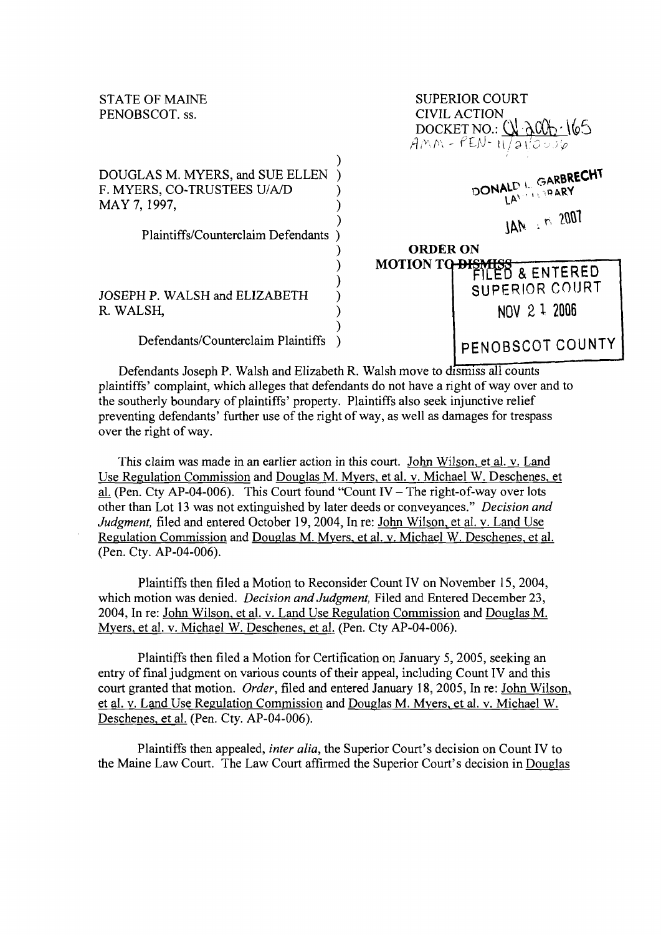STATE OF MAINE SUPERIOR COURT PENOBSCOT. ss. CIVIL ACTION<br>DOCKET NO.: (\!) \Rig  $\widetilde{AMM}$  -  $\ell$ EN- $\frac{1}{11}$ a $\sqrt[12]{\omega \nu \varphi}$ 

DOUGLAS M. MYERS, and SUE ELLEN )<br>F. MYERS, CO-TRUSTEES U/A/D ) **bonald bonald by Carbrecht** F. MYERS, CO-TRUSTEES U/A/D  $\begin{array}{ccc}\n\text{MAY 7, 1997,} & & & \text{MeV} \\
\text{MAY 7, 1997,} & & & \text{MeV} \\
\text{MAY 7, 1997,} & & & \text{MeV} \\
\end{array}$ 

Plaintiffs/Counterclaim Defendants )

JOSEPH P. WALSH and ELIZABETH ) SUPERIOR COURT R. WALSH,  $\qquad \qquad$  NOV 2 1 2006

Defendants/Counterclaim Plaintiffs ) PENOBSCOT COUNTY

Defendants Joseph P. Walsh and Elizabeth R. Walsh move to dismiss all counts plaintiffs' complain< which alleges that defendants do not have a right of way over and to the southerly boundary of plaintiffs' property. Plaintiffs also seek injunctive relief preventing defendants' further use of the right of way, as well as damages for trespass over the right of way.

 $\sum_{i=1}^{n}$ 

)

 $\sum_{i=1}^{n}$ 

)<br>)

<sup>1</sup> **ORDER ON** 

**S MOTION T** 

This claim was made in an earlier action in this court. John Wilson, et al. v. Land Use Regulation Commission and Douglas M. Myers, et al. v. Michael W. Deschenes, et al. (Pen. Cty AP-04-006). This Court found "Count IV - The right-of-way over lots other than Lot 13 was not extinguished by later deeds or conveyances." Decision and Judgment, filed and entered October 19,2004, In re: John Wilson, et al. v. Land Use Regulation Commission and Douglas M. Mvers. et al. v. Michael W. Deschenes, et al. (Pen. Cty. AP-04-006).

Plaintiffs then filed a Motion to Reconsider Count IV on November 15, 2004, which motion was denied. *Decision and Judgment*, Filed and Entered December 23, 2004, In re: John Wilson, et al. v. Land Use Regulation Commission and Douglas M. Myers, et al. v. Michael W. Deschenes, et al. (Pen. Cty AP-04-006).

Plaintiffs then filed a Motion for Certification on January 5,2005, seeking an entry of final judgment on various counts of their appeal, including Count IV and this court granted that motion. Order, filed and entered January 18,2005, In re: John Wilson, et al. v. Land Use Regulation Commission and Douglas M. Myers, et al. v. Michael W. Deschenes, et al. (Pen. Cty. AP-04-006).

Plaintiffs then appealed, inter alia, the Superior Court's decision on Count IV to the Maine Law Court. The Law Court affirmed the Superior Court's decision in Douglas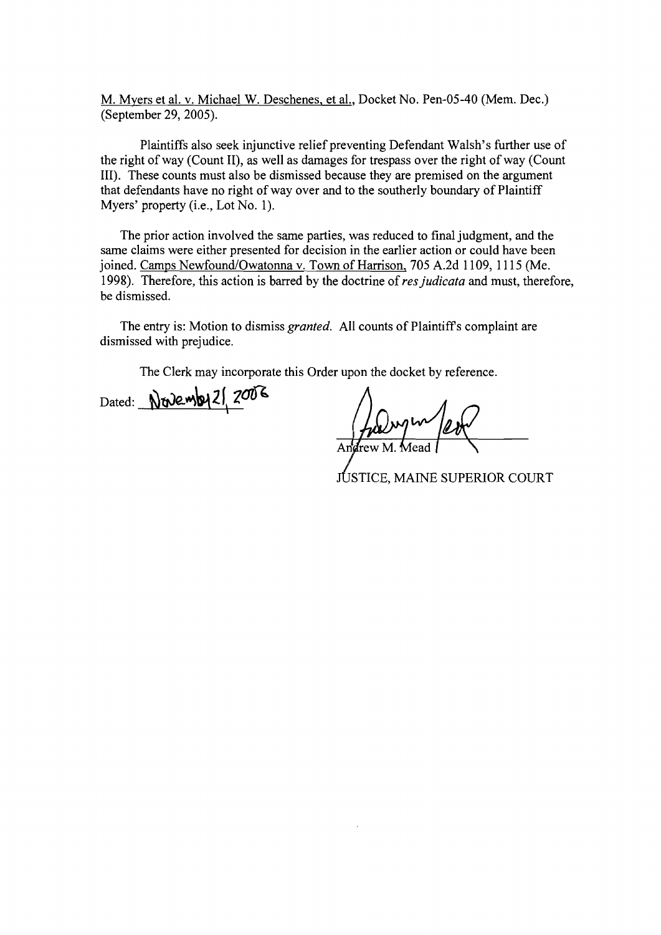M. Mvers et al. v. Michael W. Deschenes, et al., Docket No. Pen-05-40 (Mem. Dec.) (September 29,2005).

Plaintiffs also seek injunctive relief preventing Defendant Walsh's further use of the right of way (Count 11), as well as damages for trespass over the right of way (Count 111). These counts must also be dismissed because they are premised on the argument that defendants have no right of way over and to the southerly boundary of Plaintiff Myers' property (i.e., Lot No. 1).

The prior action involved the same parties, was reduced to final judgment, and the same claims were either presented for decision in the earlier action or could have been joined. Camps Newfound/Owatonna v. Town of Harrison, 705 A.2d 1109, 1115 (Me. 1998). Therefore, this action is barred by the doctrine of *res judicata* and must, therefore, be dismissed.

The entry is: Motion to dismiss *granted.* All counts of Plaintiffs complaint are dismissed with prejudice.

The Clerk may incorporate this Order upon the docket by reference.

Dated: Novemby 21, 2006

**JUSTICE, MAINE SUPERIOR COURT**